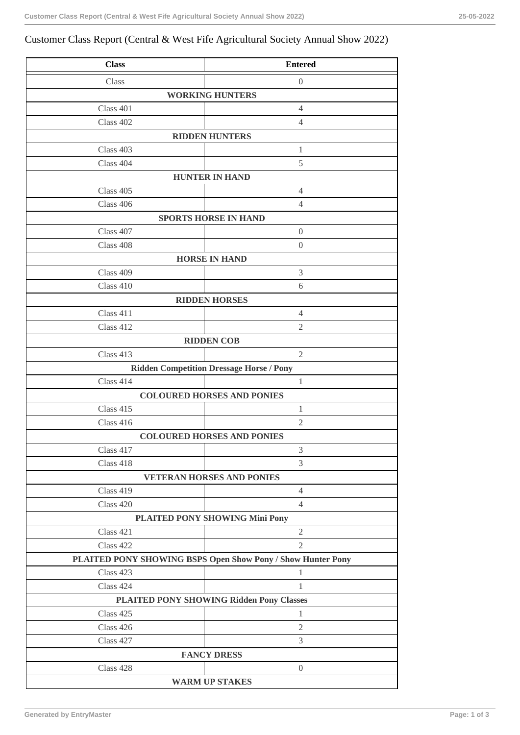## Customer Class Report (Central & West Fife Agricultural Society Annual Show 2022)

| <b>Class</b>                                                  | <b>Entered</b>                                              |  |
|---------------------------------------------------------------|-------------------------------------------------------------|--|
| Class                                                         | $\boldsymbol{0}$                                            |  |
| <b>WORKING HUNTERS</b>                                        |                                                             |  |
| Class 401                                                     | $\overline{4}$                                              |  |
| Class 402                                                     | 4                                                           |  |
| <b>RIDDEN HUNTERS</b>                                         |                                                             |  |
| Class 403                                                     | 1                                                           |  |
| Class 404                                                     | 5                                                           |  |
| <b>HUNTER IN HAND</b>                                         |                                                             |  |
| Class 405                                                     | $\overline{4}$                                              |  |
| Class 406                                                     | $\overline{4}$                                              |  |
| Class 407                                                     | <b>SPORTS HORSE IN HAND</b><br>$\boldsymbol{0}$             |  |
| Class 408                                                     | $\boldsymbol{0}$                                            |  |
|                                                               | <b>HORSE IN HAND</b>                                        |  |
| Class 409                                                     | 3                                                           |  |
| Class 410                                                     | 6                                                           |  |
| <b>RIDDEN HORSES</b>                                          |                                                             |  |
| Class 411                                                     | 4                                                           |  |
| Class 412                                                     | $\mathfrak{2}$                                              |  |
|                                                               | <b>RIDDEN COB</b>                                           |  |
| Class 413                                                     | $\overline{2}$                                              |  |
| <b>Ridden Competition Dressage Horse / Pony</b>               |                                                             |  |
| Class 414                                                     | 1                                                           |  |
| <b>COLOURED HORSES AND PONIES</b>                             |                                                             |  |
| Class 415                                                     | $\mathbf{1}$                                                |  |
| Class 416                                                     | $\mathfrak{2}$                                              |  |
|                                                               | <b>COLOURED HORSES AND PONIES</b>                           |  |
| Class 417                                                     | $\mathfrak{Z}$                                              |  |
| Class 418                                                     | 3                                                           |  |
|                                                               | <b>VETERAN HORSES AND PONIES</b>                            |  |
| Class 419                                                     | $\overline{4}$                                              |  |
| Class 420                                                     | 4                                                           |  |
| PLAITED PONY SHOWING Mini Pony<br>Class 421<br>$\overline{2}$ |                                                             |  |
| Class 422                                                     | $\overline{2}$                                              |  |
|                                                               | PLAITED PONY SHOWING BSPS Open Show Pony / Show Hunter Pony |  |
| Class 423                                                     | $\mathbf{1}$                                                |  |
| Class 424                                                     | $\mathbf{1}$                                                |  |
| <b>PLAITED PONY SHOWING Ridden Pony Classes</b>               |                                                             |  |
| Class 425                                                     | $\mathbf{1}$                                                |  |
| Class 426                                                     | $\overline{2}$                                              |  |
| Class 427                                                     | 3                                                           |  |
|                                                               | <b>FANCY DRESS</b>                                          |  |
| Class 428                                                     | $\boldsymbol{0}$                                            |  |
|                                                               | <b>WARM UP STAKES</b>                                       |  |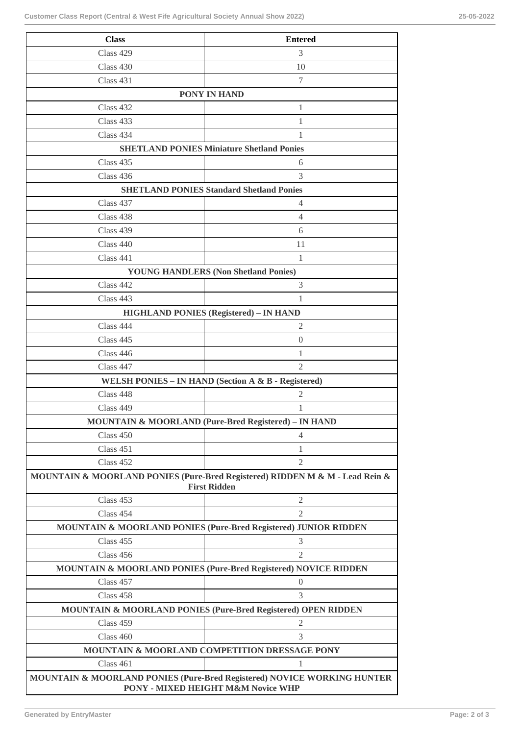| <b>Class</b>                                                                                                  | <b>Entered</b>                                                               |  |
|---------------------------------------------------------------------------------------------------------------|------------------------------------------------------------------------------|--|
| Class 429                                                                                                     | 3                                                                            |  |
| Class 430                                                                                                     | 10                                                                           |  |
| Class 431                                                                                                     | 7                                                                            |  |
|                                                                                                               | <b>PONY IN HAND</b>                                                          |  |
| Class 432                                                                                                     | 1                                                                            |  |
| Class 433                                                                                                     | 1                                                                            |  |
| Class 434                                                                                                     | 1                                                                            |  |
| <b>SHETLAND PONIES Miniature Shetland Ponies</b>                                                              |                                                                              |  |
| Class 435                                                                                                     | 6                                                                            |  |
| Class 436                                                                                                     | 3                                                                            |  |
| <b>SHETLAND PONIES Standard Shetland Ponies</b>                                                               |                                                                              |  |
| Class 437                                                                                                     | $\overline{4}$                                                               |  |
| Class 438                                                                                                     | 4                                                                            |  |
| Class 439                                                                                                     | 6                                                                            |  |
| Class 440                                                                                                     | 11                                                                           |  |
| Class 441                                                                                                     | 1                                                                            |  |
| <b>YOUNG HANDLERS (Non Shetland Ponies)</b>                                                                   |                                                                              |  |
| Class 442                                                                                                     | 3                                                                            |  |
| Class $443$                                                                                                   | 1                                                                            |  |
| <b>HIGHLAND PONIES (Registered) - IN HAND</b>                                                                 |                                                                              |  |
| Class 444                                                                                                     | 2                                                                            |  |
| Class 445                                                                                                     | $\overline{0}$                                                               |  |
| Class $446$                                                                                                   | 1                                                                            |  |
| Class 447                                                                                                     | 2                                                                            |  |
| WELSH PONIES - IN HAND (Section A & B - Registered)                                                           |                                                                              |  |
| Class 448                                                                                                     | 2                                                                            |  |
| Class 449                                                                                                     | 1                                                                            |  |
|                                                                                                               | <b>MOUNTAIN &amp; MOORLAND (Pure-Bred Registered) – IN HAND</b>              |  |
| Class 450<br>Class 451                                                                                        | 4<br>1                                                                       |  |
| Class 452                                                                                                     | 2                                                                            |  |
|                                                                                                               | MOUNTAIN & MOORLAND PONIES (Pure-Bred Registered) RIDDEN M & M - Lead Rein & |  |
| <b>First Ridden</b>                                                                                           |                                                                              |  |
| Class 453                                                                                                     | $\mathfrak{2}$                                                               |  |
| Class 454                                                                                                     | $\overline{2}$                                                               |  |
|                                                                                                               | MOUNTAIN & MOORLAND PONIES (Pure-Bred Registered) JUNIOR RIDDEN              |  |
| Class 455                                                                                                     | 3                                                                            |  |
| Class 456                                                                                                     | $\overline{2}$                                                               |  |
|                                                                                                               | MOUNTAIN & MOORLAND PONIES (Pure-Bred Registered) NOVICE RIDDEN              |  |
| Class 457                                                                                                     | $\boldsymbol{0}$                                                             |  |
| Class 458                                                                                                     | 3                                                                            |  |
|                                                                                                               | MOUNTAIN & MOORLAND PONIES (Pure-Bred Registered) OPEN RIDDEN                |  |
| Class 459                                                                                                     | $\overline{2}$                                                               |  |
| Class 460                                                                                                     | 3                                                                            |  |
|                                                                                                               | MOUNTAIN & MOORLAND COMPETITION DRESSAGE PONY                                |  |
| Class 461                                                                                                     | 1                                                                            |  |
| MOUNTAIN & MOORLAND PONIES (Pure-Bred Registered) NOVICE WORKING HUNTER<br>PONY - MIXED HEIGHT M&M Novice WHP |                                                                              |  |